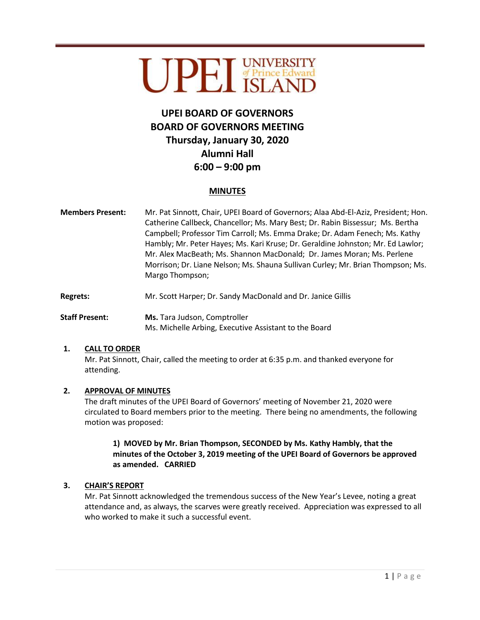# UPEL UNIVERSITY

# **UPEI BOARD OF GOVERNORS BOARD OF GOVERNORS MEETING Thursday, January 30, 2020 Alumni Hall 6:00 – 9:00 pm**

## **MINUTES**

- **Members Present:** Mr. Pat Sinnott, Chair, UPEI Board of Governors; Alaa Abd-El-Aziz, President; Hon. Catherine Callbeck, Chancellor; Ms. Mary Best; Dr. Rabin Bissessur; Ms. Bertha Campbell; Professor Tim Carroll; Ms. Emma Drake; Dr. Adam Fenech; Ms. Kathy Hambly; Mr. Peter Hayes; Ms. Kari Kruse; Dr. Geraldine Johnston; Mr. Ed Lawlor; Mr. Alex MacBeath; Ms. Shannon MacDonald; Dr. James Moran; Ms. Perlene Morrison; Dr. Liane Nelson; Ms. Shauna Sullivan Curley; Mr. Brian Thompson; Ms. Margo Thompson;
- Regrets: Mr. Scott Harper; Dr. Sandy MacDonald and Dr. Janice Gillis
- **Staff Present: Ms.** Tara Judson, Comptroller Ms. Michelle Arbing, Executive Assistant to the Board

#### **1. CALL TO ORDER**

Mr. Pat Sinnott, Chair, called the meeting to order at 6:35 p.m. and thanked everyone for attending.

#### **2. APPROVAL OF MINUTES**

The draft minutes of the UPEI Board of Governors' meeting of November 21, 2020 were circulated to Board members prior to the meeting. There being no amendments, the following motion was proposed:

### **1) MOVED by Mr. Brian Thompson, SECONDED by Ms. Kathy Hambly, that the minutes of the October 3, 2019 meeting of the UPEI Board of Governors be approved as amended. CARRIED**

#### **3. CHAIR'S REPORT**

Mr. Pat Sinnott acknowledged the tremendous success of the New Year's Levee, noting a great attendance and, as always, the scarves were greatly received. Appreciation was expressed to all who worked to make it such a successful event.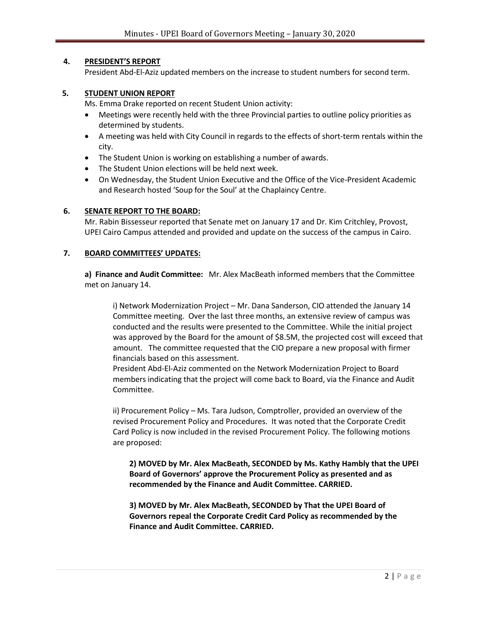#### **4. PRESIDENT'S REPORT**

President Abd-El-Aziz updated members on the increase to student numbers for second term.

#### **5. STUDENT UNION REPORT**

Ms. Emma Drake reported on recent Student Union activity:

- Meetings were recently held with the three Provincial parties to outline policy priorities as determined by students.
- A meeting was held with City Council in regards to the effects of short-term rentals within the city.
- The Student Union is working on establishing a number of awards.
- The Student Union elections will be held next week.
- On Wednesday, the Student Union Executive and the Office of the Vice-President Academic and Research hosted 'Soup for the Soul' at the Chaplaincy Centre.

#### **6. SENATE REPORT TO THE BOARD:**

Mr. Rabin Bissesseur reported that Senate met on January 17 and Dr. Kim Critchley, Provost, UPEI Cairo Campus attended and provided and update on the success of the campus in Cairo.

#### **7. BOARD COMMITTEES' UPDATES:**

**a) Finance and Audit Committee:** Mr. Alex MacBeath informed members that the Committee met on January 14.

i) Network Modernization Project – Mr. Dana Sanderson, CIO attended the January 14 Committee meeting. Over the last three months, an extensive review of campus was conducted and the results were presented to the Committee. While the initial project was approved by the Board for the amount of \$8.5M, the projected cost will exceed that amount. The committee requested that the CIO prepare a new proposal with firmer financials based on this assessment.

President Abd-El-Aziz commented on the Network Modernization Project to Board members indicating that the project will come back to Board, via the Finance and Audit Committee.

ii) Procurement Policy – Ms. Tara Judson, Comptroller, provided an overview of the revised Procurement Policy and Procedures. It was noted that the Corporate Credit Card Policy is now included in the revised Procurement Policy. The following motions are proposed:

**2) MOVED by Mr. Alex MacBeath, SECONDED by Ms. Kathy Hambly that the UPEI Board of Governors' approve the Procurement Policy as presented and as recommended by the Finance and Audit Committee. CARRIED.** 

**3) MOVED by Mr. Alex MacBeath, SECONDED by That the UPEI Board of Governors repeal the Corporate Credit Card Policy as recommended by the Finance and Audit Committee. CARRIED.**